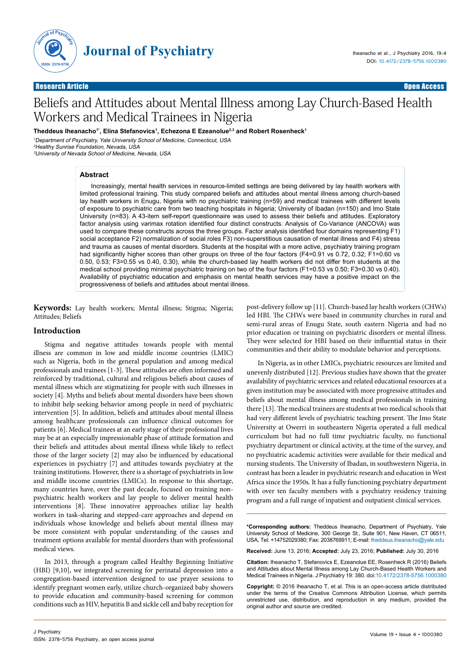

**Journal of Psychiatry**

# Beliefs and Attitudes about Mental Illness among Lay Church-Based Health Workers and Medical Trainees in Nigeria

**Theddeus Iheanacho1\*, Elina Stefanovics1 , Echezona E Ezeanolue2,3 and Robert Rosenheck1**

<sup>1</sup>Department of Psychiatry, Yale University School of Medicine, Connecticut, USA <sup>2</sup>Healthy Sunrise Foundation, Nevada, USA <sup>3</sup>University of Nevada School of Medicine, Nevada, USA

## **Abstract**

Increasingly, mental health services in resource-limited settings are being delivered by lay health workers with limited professional training. This study compared beliefs and attitudes about mental illness among church-based lay health workers in Enugu, Nigeria with no psychiatric training (n=59) and medical trainees with different levels of exposure to psychiatric care from two teaching hospitals in Nigeria; University of Ibadan (n=150) and Imo State University (n=83). A 43-item self-report questionnaire was used to assess their beliefs and attitudes. Exploratory factor analysis using varimax rotation identified four distinct constructs. Analysis of Co-Variance (ANCOVA) was used to compare these constructs across the three groups. Factor analysis identified four domains representing F1) social acceptance F2) normalization of social roles F3) non-superstitious causation of mental illness and F4) stress and trauma as causes of mental disorders. Students at the hospital with a more active, psychiatry training program had significantly higher scores than other groups on three of the four factors (F4=0.91 vs 0.72, 0.32; F1=0.60 vs 0.50, 0.53; F3=0.55 vs 0.40, 0.30), while the church-based lay health workers did not differ from students at the medical school providing minimal psychiatric training on two of the four factors (F1=0.53 vs 0.50; F3=0.30 vs 0.40). Availability of psychiatric education and emphasis on mental health services may have a positive impact on the progressiveness of beliefs and attitudes about mental illness.

**Keywords:** Lay health workers; Mental illness; Stigma; Nigeria; Attitudes; Beliefs

# **Introduction**

Stigma and negative attitudes towards people with mental illness are common in low and middle income countries (LMIC) such as Nigeria, both in the general population and among medical professionals and trainees [1-3]. These attitudes are often informed and reinforced by traditional, cultural and religious beliefs about causes of mental illness which are stigmatizing for people with such illnesses in society [4]. Myths and beliefs about mental disorders have been shown to inhibit help seeking behavior among people in need of psychiatric intervention [5]. In addition, beliefs and attitudes about mental illness among healthcare professionals can influence clinical outcomes for patients [6]. Medical trainees at an early stage of their professional lives may be at an especially impressionable phase of attitude formation and their beliefs and attitudes about mental illness while likely to reflect those of the larger society [2] may also be influenced by educational experiences in psychiatry [7] and attitudes towards psychiatry at the training institutions. However, there is a shortage of psychiatrists in low and middle income countries (LMICs). In response to this shortage, many countries have, over the past decade, focused on training nonpsychiatric health workers and lay people to deliver mental health interventions [8]. These innovative approaches utilize lay health workers in task-sharing and stepped-care approaches and depend on individuals whose knowledge and beliefs about mental illness may be more consistent with popular understanding of the causes and treatment options available for mental disorders than with professional medical views.

In 2013, through a program called Healthy Beginning Initiative (HBI) [9,10], we integrated screening for perinatal depression into a congregation-based intervention designed to use prayer sessions to identify pregnant women early, utilize church-organized baby showers to provide education and community-based screening for common conditions such as HIV, hepatitis B and sickle cell and baby reception for

post-delivery follow up [11]. Church-based lay health workers (CHWs) led HBI. The CHWs were based in community churches in rural and semi-rural areas of Enugu State, south eastern Nigeria and had no prior education or training on psychiatric disorders or mental illness. They were selected for HBI based on their influential status in their communities and their ability to modulate behavior and perceptions.

In Nigeria, as in other LMICs, psychiatric resources are limited and unevenly distributed [12]. Previous studies have shown that the greater availability of psychiatric services and related educational resources at a given institution may be associated with more progressive attitudes and beliefs about mental illness among medical professionals in training there [13]. The medical trainees are students at two medical schools that had very different levels of psychiatric teaching present. The Imo State University at Owerri in southeastern Nigeria operated a full medical curriculum but had no full time psychiatric faculty, no functional psychiatry department or clinical activity, at the time of the survey, and no psychiatric academic activities were available for their medical and nursing students. The University of Ibadan, in southwestern Nigeria, in contrast has been a leader in psychiatric research and education in West Africa since the 1950s. It has a fully functioning psychiatry department with over ten faculty members with a psychiatry residency training program and a full range of inpatient and outpatient clinical services.

**\*Corresponding authors:** Theddeus Iheanacho, Department of Psychiatry, Yale University School of Medicine, 300 George St., Suite 901, New Haven, CT 06511, USA, Tel: +14752029380; Fax: 2038769911; E-mail: theddeus.iheanacho@yale.edu

**Received:** June 13, 2016; **Accepted:** July 23, 2016; **Published:** July 30, 2016

**Citation:** Iheanacho T, Stefanovics E, Ezeanolue EE, Rosenheck R (2016) Beliefs and Attitudes about Mental Illness among Lay Church-Based Health Workers and Medical Trainees in Nigeria. J Psychiatry 19: 380. doi:10.4172/2378-5756.1000380

**Copyright:** © 2016 Iheanacho T, et al. This is an open-access article distributed under the terms of the Creative Commons Attribution License, which permits unrestricted use, distribution, and reproduction in any medium, provided the original author and source are credited.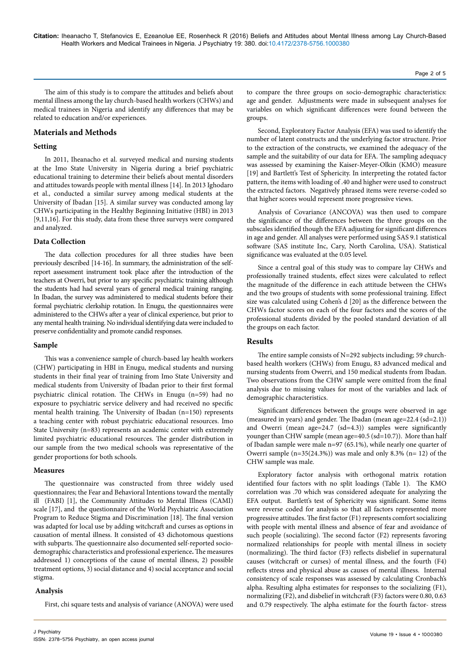**Citation:** Iheanacho T, Stefanovics E, Ezeanolue EE, Rosenheck R (2016) Beliefs and Attitudes about Mental Illness among Lay Church-Based Health Workers and Medical Trainees in Nigeria. J Psychiatry 19: 380. doi:10.4172/2378-5756.1000380

Page 2 of 5

The aim of this study is to compare the attitudes and beliefs about mental illness among the lay church-based health workers (CHWs) and medical trainees in Nigeria and identify any differences that may be related to education and/or experiences.

# **Materials and Methods**

# **Setting**

In 2011, Iheanacho et al. surveyed medical and nursing students at the Imo State University in Nigeria during a brief psychiatric educational training to determine their beliefs about mental disorders and attitudes towards people with mental illness [14]. In 2013 Ighodaro et al., conducted a similar survey among medical students at the University of Ibadan [15]. A similar survey was conducted among lay CHWs participating in the Healthy Beginning Initiative (HBI) in 2013 [9,11,16]. For this study, data from these three surveys were compared and analyzed.

## **Data Collection**

The data collection procedures for all three studies have been previously described [14-16]. In summary, the administration of the selfreport assessment instrument took place after the introduction of the teachers at Owerri, but prior to any specific psychiatric training although the students had had several years of general medical training ranging. In Ibadan, the survey was administered to medical students before their formal psychiatric clerkship rotation. In Enugu, the questionnaires were administered to the CHWs after a year of clinical experience, but prior to any mental health training. No individual identifying data were included to preserve confidentiality and promote candid responses.

## **Sample**

This was a convenience sample of church-based lay health workers (CHW) participating in HBI in Enugu, medical students and nursing students in their final year of training from Imo State University and medical students from University of Ibadan prior to their first formal psychiatric clinical rotation. The CHWs in Enugu (n=59) had no exposure to psychiatric service delivery and had received no specific mental health training. The University of Ibadan (n=150) represents a teaching center with robust psychiatric educational resources. Imo State University (n=83) represents an academic center with extremely limited psychiatric educational resources. The gender distribution in our sample from the two medical schools was representative of the gender proportions for both schools.

## **Measures**

The questionnaire was constructed from three widely used questionnaires; the Fear and Behavioral Intentions toward the mentally ill (FABI) [1], the Community Attitudes to Mental Illness (CAMI) scale [17], and the questionnaire of the World Psychiatric Association Program to Reduce Stigma and Discrimination [18]. The final version was adapted for local use by adding witchcraft and curses as options in causation of mental illness. It consisted of 43 dichotomous questions with subparts. The questionnaire also documented self-reported sociodemographic characteristics and professional experience**.** The measures addressed 1) conceptions of the cause of mental illness, 2) possible treatment options, 3) social distance and 4) social acceptance and social stigma.

# **Analysis**

First, chi square tests and analysis of variance (ANOVA) were used

to compare the three groups on socio-demographic characteristics: age and gender. Adjustments were made in subsequent analyses for variables on which significant differences were found between the groups.

Second, Exploratory Factor Analysis (EFA) was used to identify the number of latent constructs and the underlying factor structure. Prior to the extraction of the constructs, we examined the adequacy of the sample and the suitability of our data for EFA. The sampling adequacy was assessed by examining the Kaiser-Meyer-Olkin (KMO) measure [19] and Bartlett's Test of Sphericity. In interpreting the rotated factor pattern, the items with loading of .40 and higher were used to construct the extracted factors. Negatively phrased items were reverse-coded so that higher scores would represent more progressive views.

Analysis of Covariance (ANCOVA) was then used to compare the significance of the differences between the three groups on the subscales identified though the EFA adjusting for significant differences in age and gender. All analyses were performed using SAS 9.1 statistical software (SAS institute Inc, Cary, North Carolina, USA). Statistical significance was evaluated at the 0.05 level.

Since a central goal of this study was to compare lay CHWs and professionally trained students, effect sizes were calculated to reflect the magnitude of the difference in each attitude between the CHWs and the two groups of students with some professional training. Effect size was calculated using Cohen's d [20] as the difference between the CHWs factor scores on each of the four factors and the scores of the professional students divided by the pooled standard deviation of all the groups on each factor.

## **Results**

The entire sample consists of N=292 subjects including; 59 churchbased health workers (CHWs) from Enugu, 83 advanced medical and nursing students from Owerri, and 150 medical students from Ibadan. Two observations from the CHW sample were omitted from the final analysis due to missing values for most of the variables and lack of demographic characteristics.

Significant differences between the groups were observed in age (measured in years) and gender. The Ibadan (mean age=22.4 (sd=2.1)) and Owerri (mean age=24.7 (sd=4.3)) samples were significantly younger than CHW sample (mean age=40.5 (sd=10.7)). More than half of Ibadan sample were male n=97 (65.1%), while nearly one quarter of Owerri sample  $(n=35(24.3\%))$  was male and only 8.3%  $(n=12)$  of the CHW sample was male.

Exploratory factor analysis with orthogonal matrix rotation identified four factors with no split loadings (Table 1). The KMO correlation was .70 which was considered adequate for analyzing the EFA output. Bartlett's test of Sphericity was significant. Some items were reverse coded for analysis so that all factors represented more progressive attitudes. The first factor (F1) represents comfort socializing with people with mental illness and absence of fear and avoidance of such people (socializing). The second factor (F2) represents favoring normalized relationships for people with mental illness in society (normalizing). The third factor (F3) reflects disbelief in supernatural causes (witchcraft or curses) of mental illness, and the fourth (F4) reflects stress and physical abuse as causes of mental illness. Internal consistency of scale responses was assessed by calculating Cronbach's alpha. Resulting alpha estimates for responses to the socializing (F1), normalizing (F2), and disbelief in witchcraft (F3) factors were 0.80, 0.63 and 0.79 respectively. The alpha estimate for the fourth factor- stress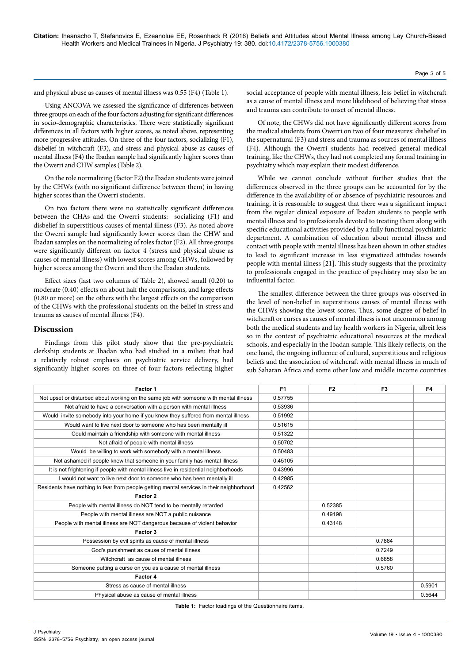and physical abuse as causes of mental illness was 0.55 (F4) (Table 1).

Using ANCOVA we assessed the significance of differences between three groups on each of the four factors adjusting for significant differences in socio-demographic characteristics. There were statistically significant differences in all factors with higher scores, as noted above, representing more progressive attitudes. On three of the four factors, socializing (F1), disbelief in witchcraft (F3), and stress and physical abuse as causes of mental illness (F4) the Ibadan sample had significantly higher scores than the Owerri and CHW samples (Table 2).

On the role normalizing (factor F2) the Ibadan students were joined by the CHWs (with no significant difference between them) in having higher scores than the Owerri students.

On two factors there were no statistically significant differences between the CHAs and the Owerri students: socializing (F1) and disbelief in superstitious causes of mental illness (F3). As noted above the Owerri sample had significantly lower scores than the CHW and Ibadan samples on the normalizing of roles factor (F2). All three groups were significantly different on factor 4 (stress and physical abuse as causes of mental illness) with lowest scores among CHWs, followed by higher scores among the Owerri and then the Ibadan students.

Effect sizes (last two columns of Table 2), showed small (0.20) to moderate (0.40) effects on about half the comparisons, and large effects (0.80 or more) on the others with the largest effects on the comparison of the CHWs with the professional students on the belief in stress and trauma as causes of mental illness (F4).

#### **Discussion**

Findings from this pilot study show that the pre-psychiatric clerkship students at Ibadan who had studied in a milieu that had a relatively robust emphasis on psychiatric service delivery, had significantly higher scores on three of four factors reflecting higher

social acceptance of people with mental illness, less belief in witchcraft as a cause of mental illness and more likelihood of believing that stress and trauma can contribute to onset of mental illness.

Of note, the CHWs did not have significantly different scores from the medical students from Owerri on two of four measures: disbelief in the supernatural (F3) and stress and trauma as sources of mental illness (F4). Although the Owerri students had received general medical training, like the CHWs, they had not completed any formal training in psychiatry which may explain their modest difference.

While we cannot conclude without further studies that the differences observed in the three groups can be accounted for by the difference in the availability of or absence of psychiatric resources and training, it is reasonable to suggest that there was a significant impact from the regular clinical exposure of Ibadan students to people with mental illness and to professionals devoted to treating them along with specific educational activities provided by a fully functional psychiatric department. A combination of education about mental illness and contact with people with mental illness has been shown in other studies to lead to significant increase in less stigmatized attitudes towards people with mental illness [21]. This study suggests that the proximity to professionals engaged in the practice of psychiatry may also be an influential factor.

The smallest difference between the three groups was observed in the level of non-belief in superstitious causes of mental illness with the CHWs showing the lowest scores. Thus, some degree of belief in witchcraft or curses as causes of mental illness is not uncommon among both the medical students and lay health workers in Nigeria, albeit less so in the context of psychiatric educational resources at the medical schools, and especially in the Ibadan sample. This likely reflects, on the one hand, the ongoing influence of cultural, superstitious and religious beliefs and the association of witchcraft with mental illness in much of sub Saharan Africa and some other low and middle income countries

| Factor 1                                                                                 | F <sub>1</sub> | F <sub>2</sub> | F3     | F4     |
|------------------------------------------------------------------------------------------|----------------|----------------|--------|--------|
| Not upset or disturbed about working on the same job with someone with mental illness    | 0.57755        |                |        |        |
| Not afraid to have a conversation with a person with mental illness                      | 0.53936        |                |        |        |
| Would invite somebody into your home if you knew they suffered from mental illness       | 0.51992        |                |        |        |
| Would want to live next door to someone who has been mentally ill                        | 0.51615        |                |        |        |
| Could maintain a friendship with someone with mental illness                             | 0.51322        |                |        |        |
| Not afraid of people with mental illness                                                 | 0.50702        |                |        |        |
| Would be willing to work with somebody with a mental illness                             | 0.50483        |                |        |        |
| Not ashamed if people knew that someone in your family has mental illness                | 0.45105        |                |        |        |
| It is not frightening if people with mental illness live in residential neighborhoods    | 0.43996        |                |        |        |
| I would not want to live next door to someone who has been mentally ill                  | 0.42985        |                |        |        |
| Residents have nothing to fear from people getting mental services in their neighborhood | 0.42562        |                |        |        |
| Factor 2                                                                                 |                |                |        |        |
| People with mental illness do NOT tend to be mentally retarded                           |                | 0.52385        |        |        |
| People with mental illness are NOT a public nuisance                                     |                | 0.49198        |        |        |
| People with mental illness are NOT dangerous because of violent behavior                 |                | 0.43148        |        |        |
| Factor 3                                                                                 |                |                |        |        |
| Possession by evil spirits as cause of mental illness                                    |                |                | 0.7884 |        |
| God's punishment as cause of mental illness                                              |                |                | 0.7249 |        |
| Witchcraft as cause of mental illness                                                    |                |                | 0.6858 |        |
| Someone putting a curse on you as a cause of mental illness                              |                |                | 0.5760 |        |
| Factor 4                                                                                 |                |                |        |        |
| Stress as cause of mental illness                                                        |                |                |        | 0.5901 |
| Physical abuse as cause of mental illness                                                |                |                |        | 0.5644 |

**Table 1:** Factor loadings of the Questionnaire items.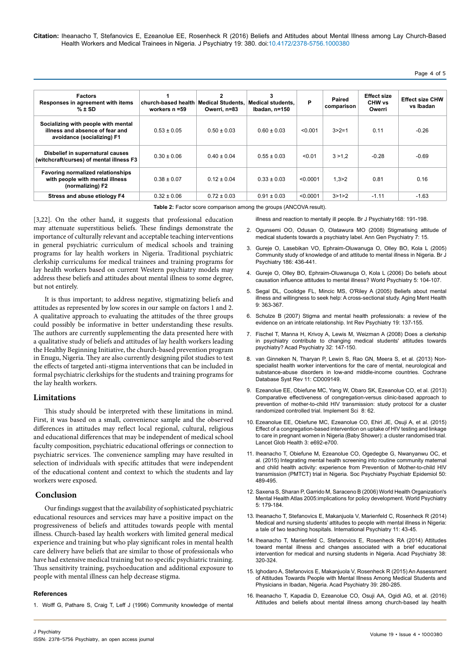**Citation:** Iheanacho T, Stefanovics E, Ezeanolue EE, Rosenheck R (2016) Beliefs and Attitudes about Mental Illness among Lay Church-Based Health Workers and Medical Trainees in Nigeria. J Psychiatry 19: 380. doi:10.4172/2378-5756.1000380

# Page 4 of 5

| <b>Factors</b><br>Responses in agreement with items<br>$% \pm SD$                                    | church-based health<br>workers $n = 59$ | 2<br>Medical Students.<br>Owerri, n=83 | 3<br><b>Medical students,</b><br>Ibadan, n=150 | P        | Paired<br>comparison | <b>Effect size</b><br>CHW vs<br>Owerri | <b>Effect size CHW</b><br>vs Ibadan |
|------------------------------------------------------------------------------------------------------|-----------------------------------------|----------------------------------------|------------------------------------------------|----------|----------------------|----------------------------------------|-------------------------------------|
| Socializing with people with mental<br>illness and absence of fear and<br>avoidance (socializing) F1 | $0.53 \pm 0.05$                         | $0.50 \pm 0.03$                        | $0.60 \pm 0.03$                                | < 0.001  | $3 > 2 = 1$          | 0.11                                   | $-0.26$                             |
| Disbelief in supernatural causes<br>(witchcraft/curses) of mental illness F3                         | $0.30 \pm 0.06$                         | $0.40 \pm 0.04$                        | $0.55 \pm 0.03$                                | < 0.01   | 3 > 1.2              | $-0.28$                                | $-0.69$                             |
| <b>Favoring normalized relationships</b><br>with people with mental illness<br>(normalizing) F2      | $0.38 \pm 0.07$                         | $0.12 \pm 0.04$                        | $0.33 \pm 0.03$                                | < 0.0001 | 1.3 > 2              | 0.81                                   | 0.16                                |
| Stress and abuse etiology F4                                                                         | $0.32 \pm 0.06$                         | $0.72 \pm 0.03$                        | $0.91 \pm 0.03$                                | < 0.0001 | 3 > 1 > 2            | $-1.11$                                | $-1.63$                             |

**Table 2:** Factor score comparison among the groups (ANCOVA result).

[illness and reaction to mentally ill people. Br J Psychiatry168: 191-198.](http://www.ncbi.nlm.nih.gov/pubmed/8837909)

[3,22]. On the other hand, it suggests that professional education may attenuate superstitious beliefs. These findings demonstrate the importance of culturally relevant and acceptable teaching interventions in general psychiatric curriculum of medical schools and training programs for lay health workers in Nigeria. Traditional psychiatric clerkship curriculums for medical trainees and training programs for lay health workers based on current Western psychiatry models may address these beliefs and attitudes about mental illness to some degree, but not entirely.

It is thus important; to address negative, stigmatizing beliefs and attitudes as represented by low scores in our sample on factors 1 and 2. A qualitative approach to evaluating the attitudes of the three groups could possibly be informative in better understanding these results. The authors are currently supplementing the data presented here with a qualitative study of beliefs and attitudes of lay health workers leading the Healthy Beginning Initiative, the church-based prevention program in Enugu, Nigeria. They are also currently designing pilot studies to test the effects of targeted anti-stigma interventions that can be included in formal psychiatric clerkships for the students and training programs for the lay health workers.

# **Limitations**

This study should be interpreted with these limitations in mind. First, it was based on a small, convenience sample and the observed differences in attitudes may reflect local regional, cultural, religious and educational differences that may be independent of medical school faculty composition, psychiatric educational offerings or connection to psychiatric services. The convenience sampling may have resulted in selection of individuals with specific attitudes that were independent of the educational content and context to which the students and lay workers were exposed.

# **Conclusion**

Our findings suggest that the availability of sophisticated psychiatric educational resources and services may have a positive impact on the progressiveness of beliefs and attitudes towards people with mental illness. Church-based lay health workers with limited general medical experience and training but who play significant roles in mental health care delivery have beliefs that are similar to those of professionals who have had extensive medical training but no specific psychiatric training. Thus sensitivity training, psychoeducation and additional exposure to people with mental illness can help decrease stigma.

## **References**

1. [Wolff G, Pathare S, Craig T, Leff J \(1996\) Community knowledge of mental](http://www.ncbi.nlm.nih.gov/pubmed/8837909)

- 2. [Ogunsemi OO, Odusan O, Olatawura MO \(2008\) Stigmatising attitude of](http://www.ncbi.nlm.nih.gov/pubmed/18724873)  [medical students towards a psychiatry label. Ann Gen Psychiatry 7: 15.](http://www.ncbi.nlm.nih.gov/pubmed/18724873)
- 3. [Gureje O, Lasebikan VO, Ephraim-Oluwanuga O, Olley BO, Kola L \(2005\)](http://www.ncbi.nlm.nih.gov/pubmed/15863750)  [Community study of knowledge of and attitude to mental illness in Nigeria. Br J](http://www.ncbi.nlm.nih.gov/pubmed/15863750)  [Psychiatry 186: 436-441.](http://www.ncbi.nlm.nih.gov/pubmed/15863750)
- 4. [Gureje O, Olley BO, Ephraim-Oluwanuga O, Kola L \(2006\) Do beliefs about](http://www.ncbi.nlm.nih.gov/pmc/articles/PMC1525129/)  [causation influence attitudes to mental illness? World Psychiatry 5: 104-107.](http://www.ncbi.nlm.nih.gov/pmc/articles/PMC1525129/)
- 5. [Segal DL, Coolidge FL, Mincic MS, O'Riley A \(2005\) Beliefs about mental](http://www.ncbi.nlm.nih.gov/pubmed/16019293)  [illness and willingness to seek help: A cross-sectional study. Aging Ment Health](http://www.ncbi.nlm.nih.gov/pubmed/16019293)  [9: 363-367.](http://www.ncbi.nlm.nih.gov/pubmed/16019293)
- 6. [Schulze B \(2007\) Stigma and mental health professionals: a review of the](http://www.ncbi.nlm.nih.gov/pubmed/17464792)  [evidence on an intricate relationship. Int Rev Psychiatry 19: 137-155.](http://www.ncbi.nlm.nih.gov/pubmed/17464792)
- 7. [Fischel T, Manna H, Krivoy A, Lewis M, Weizman A \(2008\) Does a clerkship](http://www.ncbi.nlm.nih.gov/pubmed/18349336)  [in psychiatry contribute to changing medical students' attitudes towards](http://www.ncbi.nlm.nih.gov/pubmed/18349336)  [psychiatry? Acad Psychiatry 32: 147-150.](http://www.ncbi.nlm.nih.gov/pubmed/18349336)
- 8. [van Ginneken N, Tharyan P, Lewin S, Rao GN, Meera S, et al. \(2013\) Non](http://www.ncbi.nlm.nih.gov/pubmed/24249541)specialist health worker interventions for the care of mental, neurological and [substance-abuse disorders in low-and middle-income countries. Cochrane](http://www.ncbi.nlm.nih.gov/pubmed/24249541)  [Database Syst Rev 11: CD009149.](http://www.ncbi.nlm.nih.gov/pubmed/24249541)
- 9. [Ezeanolue EE, Obiefune MC, Yang W, Obaro SK, Ezeanolue CO, et al. \(2013\)](http://www.ncbi.nlm.nih.gov/pubmed/23758933)  [Comparative effectiveness of congregation-versus clinic-based approach to](http://www.ncbi.nlm.nih.gov/pubmed/23758933)  [prevention of mother-to-child HIV transmission: study protocol for a cluster](http://www.ncbi.nlm.nih.gov/pubmed/23758933)  [randomized controlled trial. Implement Sci 8: 62.](http://www.ncbi.nlm.nih.gov/pubmed/23758933)
- 10. [Ezeanolue EE, Obiefune MC, Ezeanolue CO, Ehiri JE, Osuji A, et al. \(2015\)](http://www.ncbi.nlm.nih.gov/pubmed/26475016)  [Effect of a congregation-based intervention on uptake of HIV testing and linkage](http://www.ncbi.nlm.nih.gov/pubmed/26475016)  [to care in pregnant women in Nigeria \(Baby Shower\): a cluster randomised trial.](http://www.ncbi.nlm.nih.gov/pubmed/26475016)  [Lancet Glob Health 3: e692-e700.](http://www.ncbi.nlm.nih.gov/pubmed/26475016)
- 11. [Iheanacho T, Obiefune M, Ezeanolue CO, Ogedegbe G, Nwanyanwu OC, et](http://www.ncbi.nlm.nih.gov/pubmed/25201181)  [al. \(2015\) Integrating mental health screening into routine community maternal](http://www.ncbi.nlm.nih.gov/pubmed/25201181)  [and child health activity: experience from Prevention of Mother-to-child HIV](http://www.ncbi.nlm.nih.gov/pubmed/25201181)  [transmission \(PMTCT\) trial in Nigeria. Soc Psychiatry Psychiatr Epidemiol 50:](http://www.ncbi.nlm.nih.gov/pubmed/25201181)  [489-495.](http://www.ncbi.nlm.nih.gov/pubmed/25201181)
- 12. [Saxena S, Sharan P, Garrido M, Saraceno B \(2006\) World Health Organization's](http://www.ncbi.nlm.nih.gov/pubmed/17139355)  [Mental Health Atlas 2005:implications for policy development. World Psychiatry](http://www.ncbi.nlm.nih.gov/pubmed/17139355)  [5: 179-184.](http://www.ncbi.nlm.nih.gov/pubmed/17139355)
- 13. [Iheanacho T, Stefanovics E, Makanjuola V, Marienfeld C, Rosenheck R \(2014\)](http://www.rcpsych.ac.uk/pdf/PUB_IPv11n2.pdf)  [Medical and nursing students' attitudes to people with mental illness in Nigeria:](http://www.rcpsych.ac.uk/pdf/PUB_IPv11n2.pdf)  [a tale of two teaching hospitals. International Psychiatry 11: 43-45.](http://www.rcpsych.ac.uk/pdf/PUB_IPv11n2.pdf)
- 14. [Iheanacho T, Marienfeld C, Stefanovics E, Rosenheck RA \(2014\) Attitudes](http://www.ncbi.nlm.nih.gov/pubmed/24643398)  [toward mental illness and changes associated with a brief educational](http://www.ncbi.nlm.nih.gov/pubmed/24643398)  [intervention for medical and nursing students in Nigeria. Acad Psychiatry 38:](http://www.ncbi.nlm.nih.gov/pubmed/24643398)  [320-324.](http://www.ncbi.nlm.nih.gov/pubmed/24643398)
- 15. [Ighodaro A, Stefanovics E, Makanjuola V, Rosenheck R \(2015\) An Assessment](http://www.ncbi.nlm.nih.gov/pubmed/24903130)  [of Attitudes Towards People with Mental Illness Among Medical Students and](http://www.ncbi.nlm.nih.gov/pubmed/24903130)  [Physicians in Ibadan, Nigeria. Acad Psychiatry 39: 280-285.](http://www.ncbi.nlm.nih.gov/pubmed/24903130)
- 16. [Iheanacho T, Kapadia D, Ezeanolue CO, Osuji AA, Ogidi AG, et al. \(2016\)](http://www.ncbi.nlm.nih.gov/pubmed/26807146)  [Attitudes and beliefs about mental illness among church-based lay health](http://www.ncbi.nlm.nih.gov/pubmed/26807146)